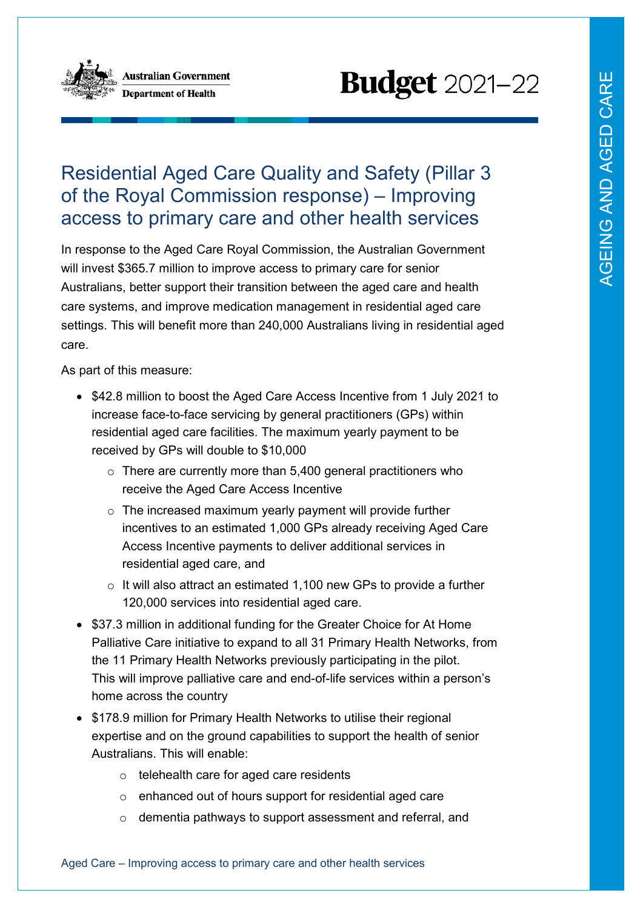

**Australian Government Department of Health** 

# **Budget** 2021-22

## Residential Aged Care Quality and Safety (Pillar 3 of the Royal Commission response) – Improving access to primary care and other health services

In response to the Aged Care Royal Commission, the Australian Government will invest \$365.7 million to improve access to primary care for senior Australians, better support their transition between the aged care and health care systems, and improve medication management in residential aged care settings. This will benefit more than 240,000 Australians living in residential aged care.

As part of this measure:

- \$42.8 million to boost the Aged Care Access Incentive from 1 July 2021 to increase face-to-face servicing by general practitioners (GPs) within residential aged care facilities. The maximum yearly payment to be received by GPs will double to \$10,000
	- $\circ$  There are currently more than 5,400 general practitioners who receive the Aged Care Access Incentive
	- o The increased maximum yearly payment will provide further incentives to an estimated 1,000 GPs already receiving Aged Care Access Incentive payments to deliver additional services in residential aged care, and
	- $\circ$  It will also attract an estimated 1,100 new GPs to provide a further 120,000 services into residential aged care.
- \$37.3 million in additional funding for the Greater Choice for At Home Palliative Care initiative to expand to all 31 Primary Health Networks, from the 11 Primary Health Networks previously participating in the pilot. This will improve palliative care and end-of-life services within a person's home across the country
- \$178.9 million for Primary Health Networks to utilise their regional expertise and on the ground capabilities to support the health of senior Australians. This will enable:
	- o telehealth care for aged care residents
	- o enhanced out of hours support for residential aged care
	- o dementia pathways to support assessment and referral, and

Aged Care – Improving access to primary care and other health services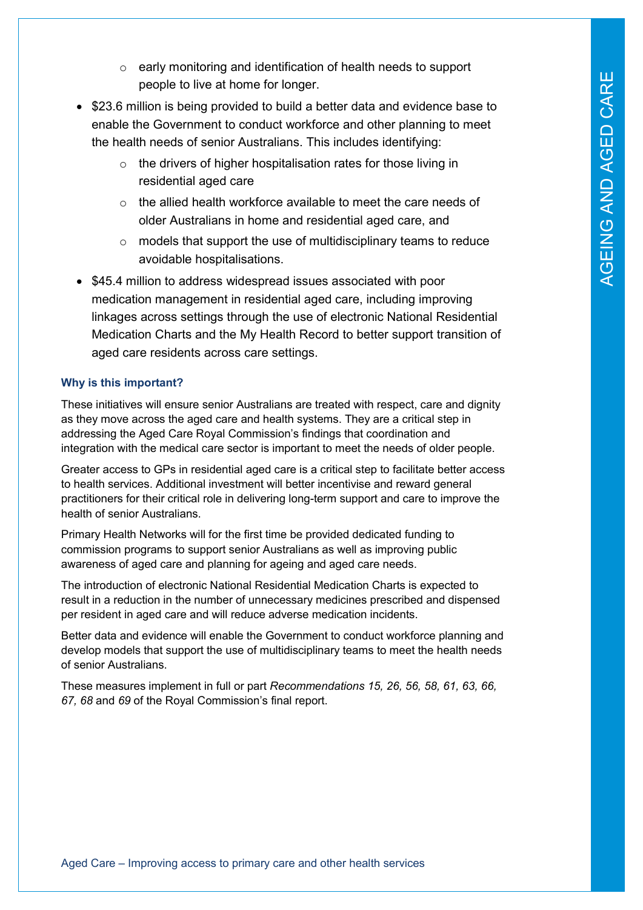- o early monitoring and identification of health needs to support people to live at home for longer.
- \$23.6 million is being provided to build a better data and evidence base to enable the Government to conduct workforce and other planning to meet the health needs of senior Australians. This includes identifying:
	- $\circ$  the drivers of higher hospitalisation rates for those living in residential aged care
	- $\circ$  the allied health workforce available to meet the care needs of older Australians in home and residential aged care, and
	- $\circ$  models that support the use of multidisciplinary teams to reduce avoidable hospitalisations.
- \$45.4 million to address widespread issues associated with poor medication management in residential aged care, including improving linkages across settings through the use of electronic National Residential Medication Charts and the My Health Record to better support transition of aged care residents across care settings.

### **Why is this important?**

These initiatives will ensure senior Australians are treated with respect, care and dignity as they move across the aged care and health systems. They are a critical step in addressing the Aged Care Royal Commission's findings that coordination and integration with the medical care sector is important to meet the needs of older people.

Greater access to GPs in residential aged care is a critical step to facilitate better access to health services. Additional investment will better incentivise and reward general practitioners for their critical role in delivering long-term support and care to improve the health of senior Australians.

Primary Health Networks will for the first time be provided dedicated funding to commission programs to support senior Australians as well as improving public awareness of aged care and planning for ageing and aged care needs.

The introduction of electronic National Residential Medication Charts is expected to result in a reduction in the number of unnecessary medicines prescribed and dispensed per resident in aged care and will reduce adverse medication incidents.

Better data and evidence will enable the Government to conduct workforce planning and develop models that support the use of multidisciplinary teams to meet the health needs of senior Australians.

These measures implement in full or part *Recommendations 15, 26, 56, 58, 61, 63, 66, 67, 68* and *69* of the Royal Commission's final report.